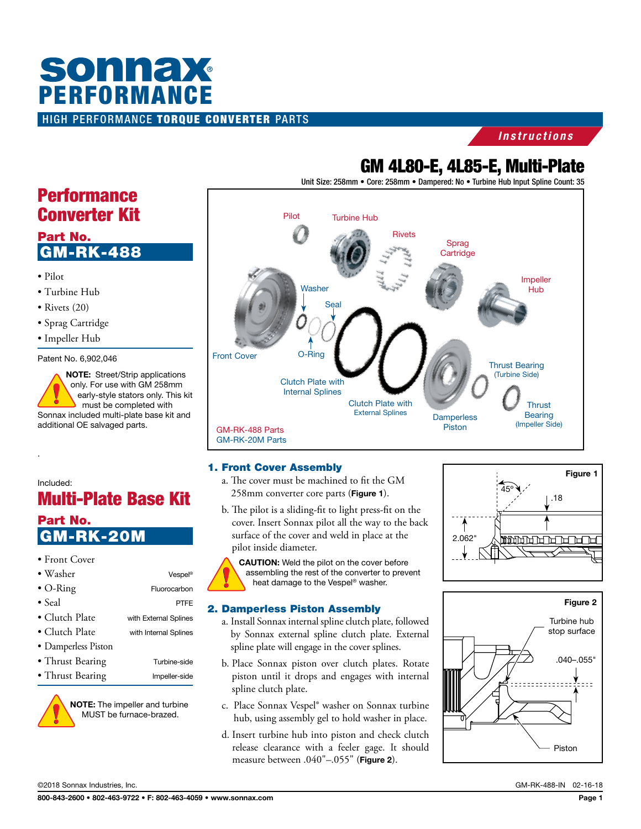# HIGH PERFORMANCE TORQUE CONVERTER PARTS **SONNAX**<br>PERFORMANCE

# *Instructions*

# GM 4L80-E, 4L85-E, Multi-Plate

Unit Size: 258mm • Core: 258mm • Dampered: No • Turbine Hub Input Spline Count: 35



#### 1. Front Cover Assembly

- a. The cover must be machined to fit the GM 258mm converter core parts (Figure 1).
- b. The pilot is a sliding-fit to light press-fit on the cover. Insert Sonnax pilot all the way to the back surface of the cover and weld in place at the pilot inside diameter.

CAUTION: Weld the pilot on the cover before assembling the rest of the converter to prevent heat damage to the Vespel® washer.

#### 2. Damperless Piston Assembly

- a. Install Sonnax internal spline clutch plate, followed by Sonnax external spline clutch plate. External spline plate will engage in the cover splines.
- b. Place Sonnax piston over clutch plates. Rotate piston until it drops and engages with internal spline clutch plate.
- c. Place Sonnax Vespel® washer on Sonnax turbine hub, using assembly gel to hold washer in place.
- d. Insert turbine hub into piston and check clutch release clearance with a feeler gage. It should measure between .040"-.055" (Figure 2).





# **Performance** Converter Kit

# Part No. GM-RK-488

- Pilot
- Turbine Hub
- Rivets (20)
- Sprag Cartridge
- Impeller Hub

Patent No. 6,902,046

NOTE: Street/Strip applications only. For use with GM 258mm early-style stators only. This kit must be completed with Sonnax included multi-plate base kit and additional OE salvaged parts.

# Included:

.

# Multi-Plate Base Kit

# Part No. K-20M

| • Front Cover          |                       |
|------------------------|-----------------------|
| $\bullet$ Washer       | Vespel®               |
| $\bullet$ O-Ring       | Fluorocarbon          |
| $\bullet$ Seal         | PTFE                  |
| • Clutch Plate         | with External Splines |
| $\bullet$ Clutch Plate | with Internal Splines |
| • Damperless Piston    |                       |
| • Thrust Bearing       | Turbine-side          |
| • Thrust Bearing       | Impeller-side         |



NOTE: The impeller and turbine MUST be furnace-brazed.